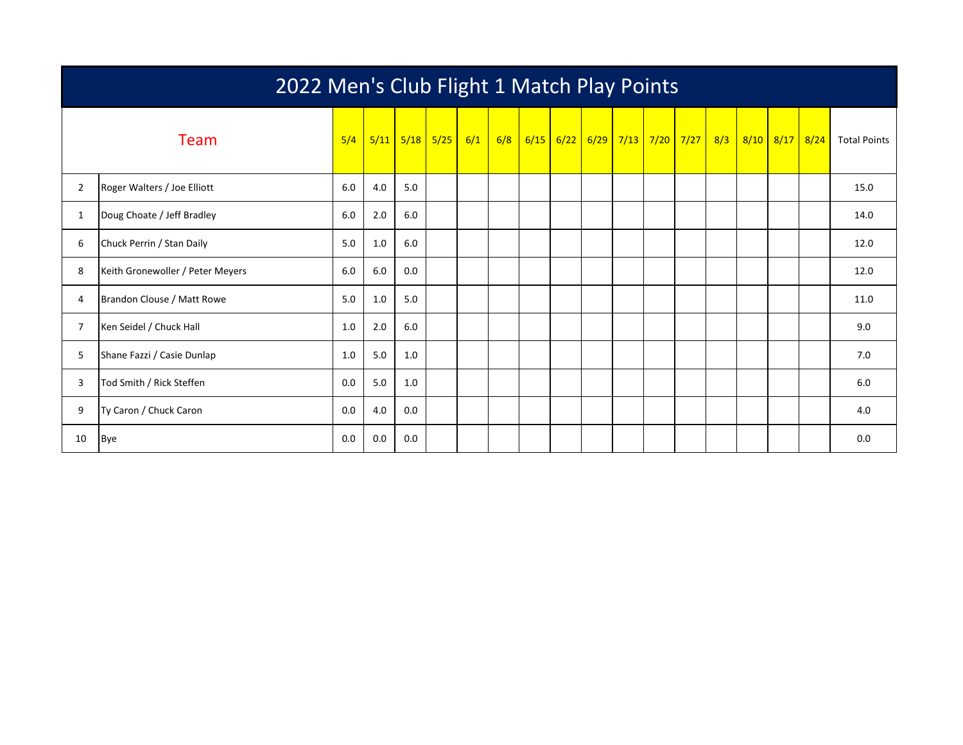|                | 2022 Men's Club Flight 1 Match Play Points |     |     |             |            |  |     |  |             |  |  |  |                                      |  |                |                     |
|----------------|--------------------------------------------|-----|-----|-------------|------------|--|-----|--|-------------|--|--|--|--------------------------------------|--|----------------|---------------------|
|                | Team                                       | 5/4 |     | $5/11$ 5/18 | $5/25$ 6/1 |  | 6/8 |  | $6/15$ 6/22 |  |  |  | <mark>6/29 7/13 7/20 7/27 8/3</mark> |  | 8/10 8/17 8/24 | <b>Total Points</b> |
| $\overline{2}$ | Roger Walters / Joe Elliott                | 6.0 | 4.0 | 5.0         |            |  |     |  |             |  |  |  |                                      |  |                | 15.0                |
| $\mathbf{1}$   | Doug Choate / Jeff Bradley                 | 6.0 | 2.0 | 6.0         |            |  |     |  |             |  |  |  |                                      |  |                | 14.0                |
| 6              | Chuck Perrin / Stan Daily                  | 5.0 | 1.0 | 6.0         |            |  |     |  |             |  |  |  |                                      |  |                | 12.0                |
| 8              | Keith Gronewoller / Peter Meyers           | 6.0 | 6.0 | 0.0         |            |  |     |  |             |  |  |  |                                      |  |                | 12.0                |
| 4              | Brandon Clouse / Matt Rowe                 | 5.0 | 1.0 | 5.0         |            |  |     |  |             |  |  |  |                                      |  |                | 11.0                |
| 7              | Ken Seidel / Chuck Hall                    | 1.0 | 2.0 | 6.0         |            |  |     |  |             |  |  |  |                                      |  |                | 9.0                 |
| 5              | Shane Fazzi / Casie Dunlap                 | 1.0 | 5.0 | 1.0         |            |  |     |  |             |  |  |  |                                      |  |                | 7.0                 |
| 3              | Tod Smith / Rick Steffen                   | 0.0 | 5.0 | 1.0         |            |  |     |  |             |  |  |  |                                      |  |                | 6.0                 |
| 9              | Ty Caron / Chuck Caron                     | 0.0 | 4.0 | 0.0         |            |  |     |  |             |  |  |  |                                      |  |                | 4.0                 |
| 10             | <b>Bye</b>                                 | 0.0 | 0.0 | 0.0         |            |  |     |  |             |  |  |  |                                      |  |                | 0.0                 |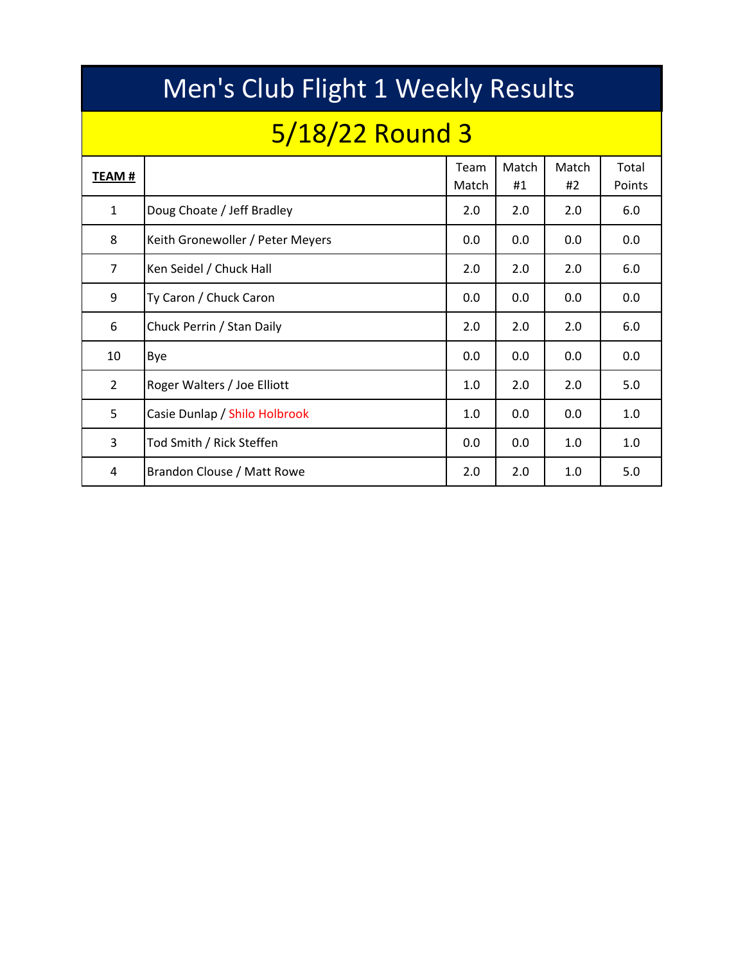|                | Men's Club Flight 1 Weekly Results |               |             |             |                 |  |  |  |  |  |  |  |  |  |
|----------------|------------------------------------|---------------|-------------|-------------|-----------------|--|--|--|--|--|--|--|--|--|
|                | 5/18/22 Round 3                    |               |             |             |                 |  |  |  |  |  |  |  |  |  |
| <b>TEAM#</b>   |                                    | Team<br>Match | Match<br>#1 | Match<br>#2 | Total<br>Points |  |  |  |  |  |  |  |  |  |
| $\mathbf{1}$   | Doug Choate / Jeff Bradley         | 2.0           | 2.0         | 2.0         | 6.0             |  |  |  |  |  |  |  |  |  |
| 8              | Keith Gronewoller / Peter Meyers   | 0.0           | 0.0         | 0.0         | 0.0             |  |  |  |  |  |  |  |  |  |
| $\overline{7}$ | Ken Seidel / Chuck Hall            | 2.0           | 2.0         | 2.0         | 6.0             |  |  |  |  |  |  |  |  |  |
| 9              | Ty Caron / Chuck Caron             | 0.0           | 0.0         | 0.0         | 0.0             |  |  |  |  |  |  |  |  |  |
| 6              | Chuck Perrin / Stan Daily          | 2.0           | 2.0         | 2.0         | 6.0             |  |  |  |  |  |  |  |  |  |
| 10             | Bye                                | 0.0           | 0.0         | 0.0         | 0.0             |  |  |  |  |  |  |  |  |  |
| $\overline{2}$ | Roger Walters / Joe Elliott        | 1.0           | 2.0         | 2.0         | 5.0             |  |  |  |  |  |  |  |  |  |
| 5              | Casie Dunlap / Shilo Holbrook      | 1.0           | 0.0         | 0.0         | 1.0             |  |  |  |  |  |  |  |  |  |
| 3              | Tod Smith / Rick Steffen           | 0.0           | 0.0         | 1.0         | 1.0             |  |  |  |  |  |  |  |  |  |
| 4              | Brandon Clouse / Matt Rowe         | 2.0           | 2.0         | 1.0         | 5.0             |  |  |  |  |  |  |  |  |  |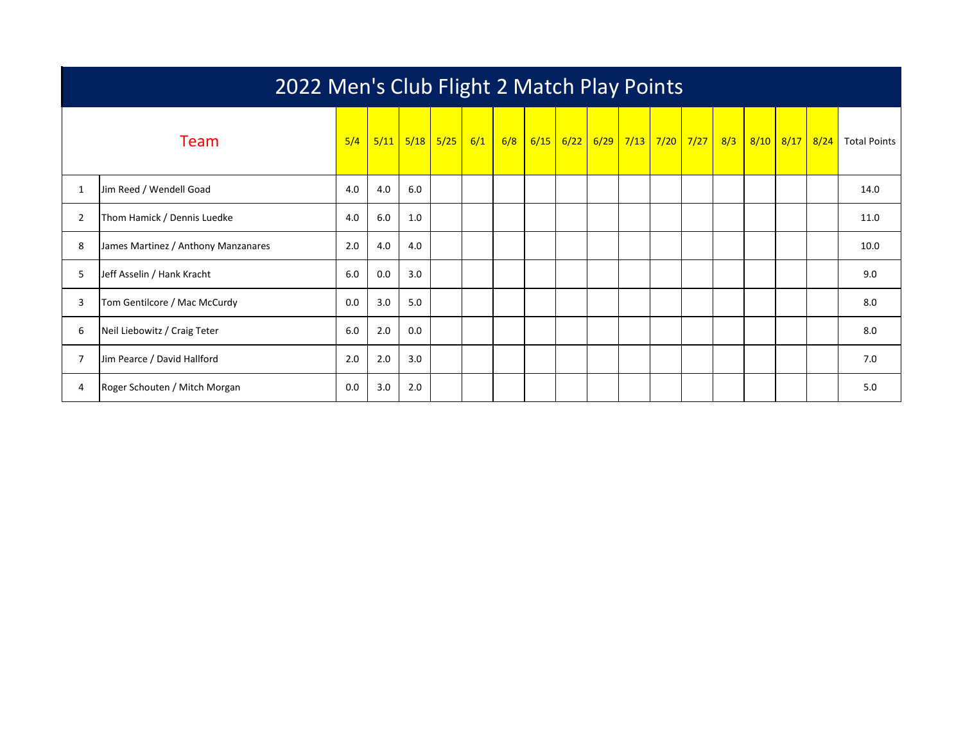|                | 2022 Men's Club Flight 2 Match Play Points |     |      |     |             |     |     |  |  |                               |  |  |  |     |  |                |                     |
|----------------|--------------------------------------------|-----|------|-----|-------------|-----|-----|--|--|-------------------------------|--|--|--|-----|--|----------------|---------------------|
|                | Team                                       | 5/4 | 5/11 |     | $5/18$ 5/25 | 6/1 | 6/8 |  |  | 6/15 6/22 6/29 7/13 7/20 7/27 |  |  |  | 8/3 |  | 8/10 8/17 8/24 | <b>Total Points</b> |
| $\mathbf{1}$   | Jim Reed / Wendell Goad                    | 4.0 | 4.0  | 6.0 |             |     |     |  |  |                               |  |  |  |     |  |                | 14.0                |
| $\overline{2}$ | Thom Hamick / Dennis Luedke                | 4.0 | 6.0  | 1.0 |             |     |     |  |  |                               |  |  |  |     |  |                | 11.0                |
| 8              | James Martinez / Anthony Manzanares        | 2.0 | 4.0  | 4.0 |             |     |     |  |  |                               |  |  |  |     |  |                | 10.0                |
| 5              | Jeff Asselin / Hank Kracht                 | 6.0 | 0.0  | 3.0 |             |     |     |  |  |                               |  |  |  |     |  |                | 9.0                 |
| 3              | Tom Gentilcore / Mac McCurdy               | 0.0 | 3.0  | 5.0 |             |     |     |  |  |                               |  |  |  |     |  |                | 8.0                 |
| 6              | Neil Liebowitz / Craig Teter               | 6.0 | 2.0  | 0.0 |             |     |     |  |  |                               |  |  |  |     |  |                | 8.0                 |
| $\overline{7}$ | Jim Pearce / David Hallford                | 2.0 | 2.0  | 3.0 |             |     |     |  |  |                               |  |  |  |     |  |                | 7.0                 |
| 4              | Roger Schouten / Mitch Morgan              | 0.0 | 3.0  | 2.0 |             |     |     |  |  |                               |  |  |  |     |  |                | 5.0                 |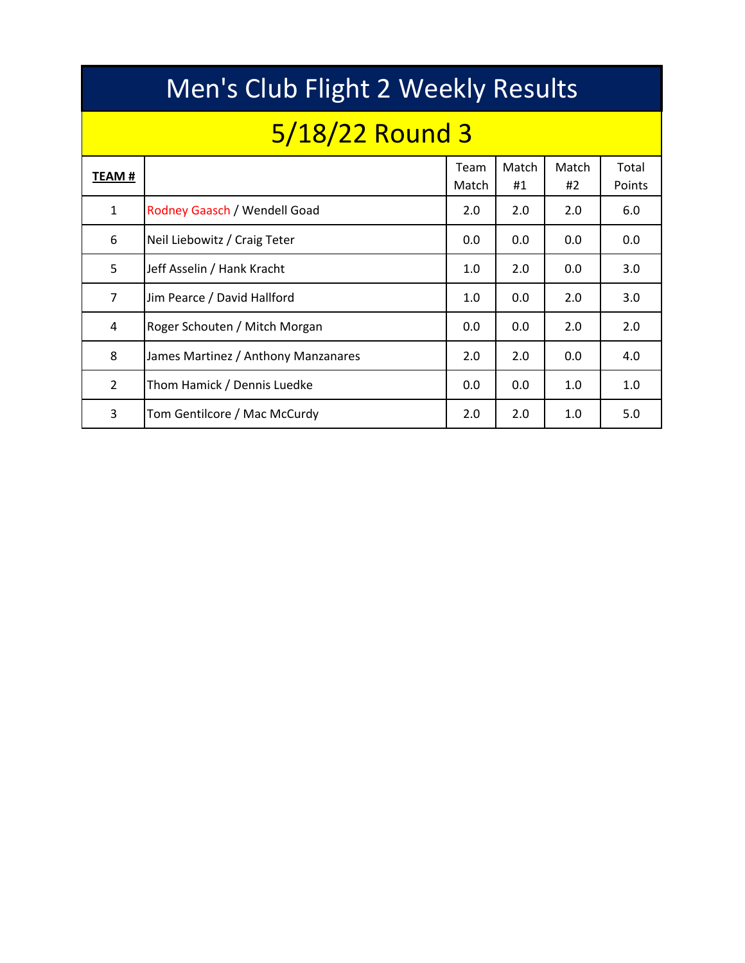|                | Men's Club Flight 2 Weekly Results  |               |             |             |                 |  |  |  |  |  |  |  |  |  |  |
|----------------|-------------------------------------|---------------|-------------|-------------|-----------------|--|--|--|--|--|--|--|--|--|--|
|                | 5/18/22 Round 3                     |               |             |             |                 |  |  |  |  |  |  |  |  |  |  |
| TEAM #         |                                     | Team<br>Match | Match<br>#1 | Match<br>#2 | Total<br>Points |  |  |  |  |  |  |  |  |  |  |
| $\mathbf{1}$   | Rodney Gaasch / Wendell Goad        | 2.0           | 2.0         | 2.0         | 6.0             |  |  |  |  |  |  |  |  |  |  |
| 6              | Neil Liebowitz / Craig Teter        | 0.0           | 0.0         | 0.0         | 0.0             |  |  |  |  |  |  |  |  |  |  |
| 5              | Jeff Asselin / Hank Kracht          | 1.0           | 2.0         | 0.0         | 3.0             |  |  |  |  |  |  |  |  |  |  |
| 7              | Jim Pearce / David Hallford         | 1.0           | 0.0         | 2.0         | 3.0             |  |  |  |  |  |  |  |  |  |  |
| 4              | Roger Schouten / Mitch Morgan       | 0.0           | 0.0         | 2.0         | 2.0             |  |  |  |  |  |  |  |  |  |  |
| 8              | James Martinez / Anthony Manzanares | 2.0           | 2.0         | 0.0         | 4.0             |  |  |  |  |  |  |  |  |  |  |
| $\overline{2}$ | Thom Hamick / Dennis Luedke         | 0.0           | 0.0         | 1.0         | 1.0             |  |  |  |  |  |  |  |  |  |  |
| 3              | Tom Gentilcore / Mac McCurdy        | 2.0           | 2.0         | 1.0         | 5.0             |  |  |  |  |  |  |  |  |  |  |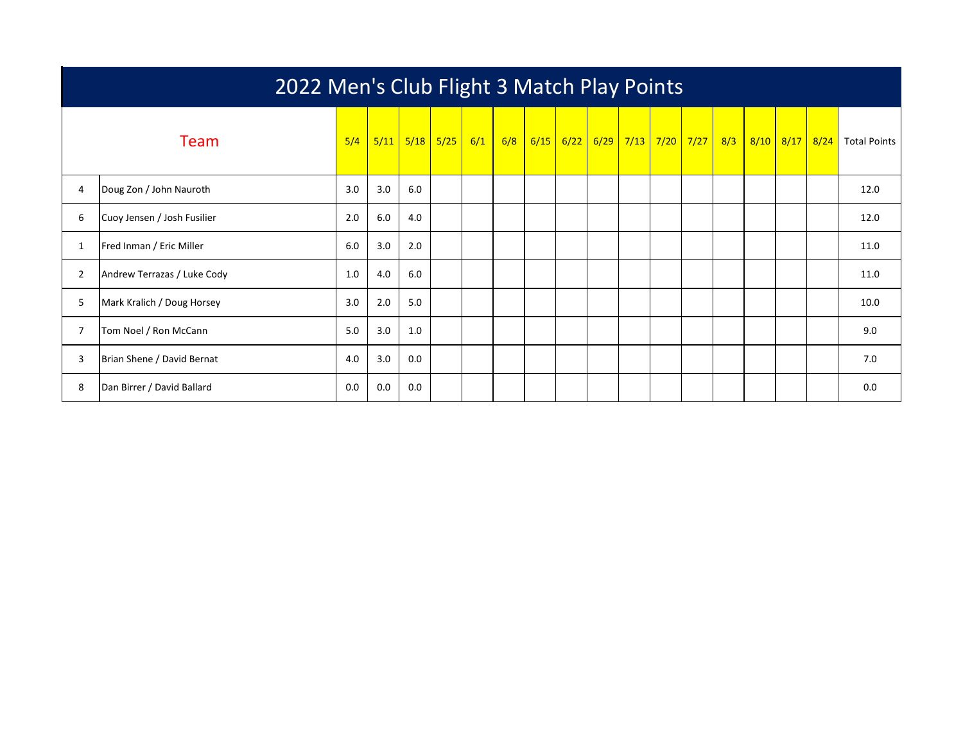|   | 2022 Men's Club Flight 3 Match Play Points |     |      |     |                 |  |     |      |      |  |  |                                            |  |     |  |                |                     |
|---|--------------------------------------------|-----|------|-----|-----------------|--|-----|------|------|--|--|--------------------------------------------|--|-----|--|----------------|---------------------|
|   | Team                                       | 5/4 | 5/11 |     | $5/18$ 5/25 6/1 |  | 6/8 | 6/15 | 6/22 |  |  | <mark>  6/29   7/13   7/20   7/27  </mark> |  | 8/3 |  | 8/10 8/17 8/24 | <b>Total Points</b> |
| 4 | Doug Zon / John Nauroth                    | 3.0 | 3.0  | 6.0 |                 |  |     |      |      |  |  |                                            |  |     |  |                | 12.0                |
| 6 | Cuoy Jensen / Josh Fusilier                | 2.0 | 6.0  | 4.0 |                 |  |     |      |      |  |  |                                            |  |     |  |                | 12.0                |
| 1 | Fred Inman / Eric Miller                   | 6.0 | 3.0  | 2.0 |                 |  |     |      |      |  |  |                                            |  |     |  |                | 11.0                |
| 2 | Andrew Terrazas / Luke Cody                | 1.0 | 4.0  | 6.0 |                 |  |     |      |      |  |  |                                            |  |     |  |                | 11.0                |
| 5 | Mark Kralich / Doug Horsey                 | 3.0 | 2.0  | 5.0 |                 |  |     |      |      |  |  |                                            |  |     |  |                | 10.0                |
| 7 | Tom Noel / Ron McCann                      | 5.0 | 3.0  | 1.0 |                 |  |     |      |      |  |  |                                            |  |     |  |                | 9.0                 |
| 3 | Brian Shene / David Bernat                 | 4.0 | 3.0  | 0.0 |                 |  |     |      |      |  |  |                                            |  |     |  |                | 7.0                 |
| 8 | Dan Birrer / David Ballard                 | 0.0 | 0.0  | 0.0 |                 |  |     |      |      |  |  |                                            |  |     |  |                | 0.0                 |